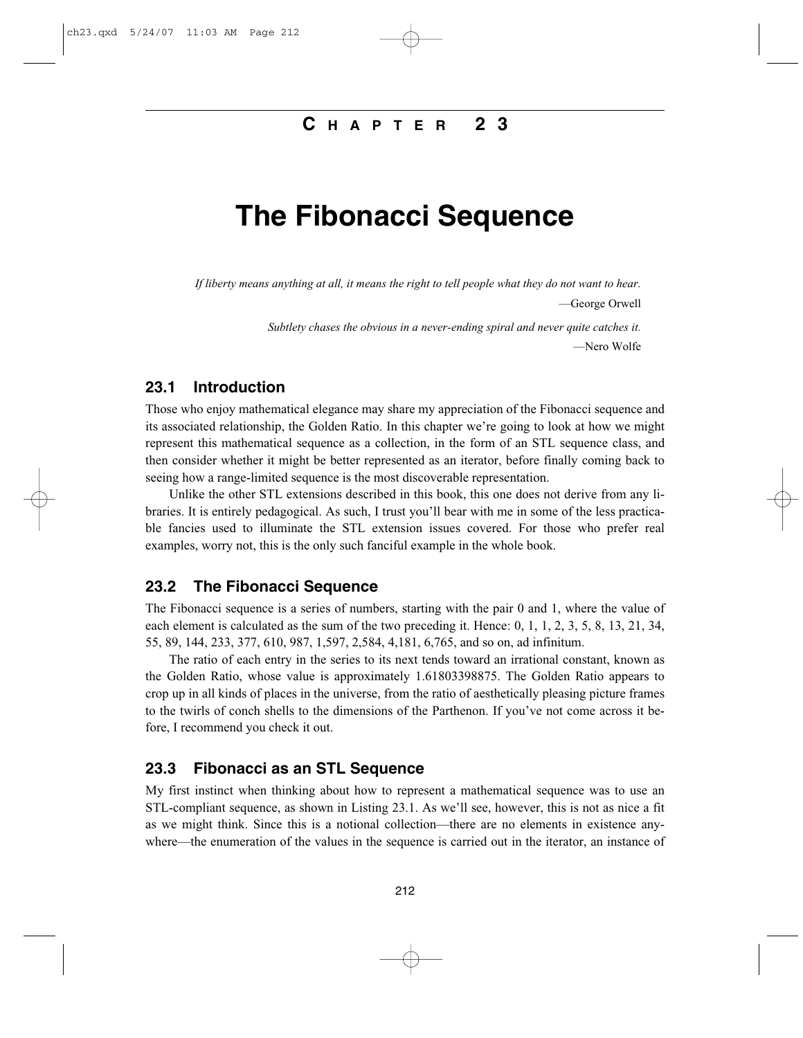# **C HAPTER 2 3**

# **The Fibonacci Sequence**

*If liberty means anything at all, it means the right to tell people what they do not want to hear.* —George Orwell

> *Subtlety chases the obvious in a never-ending spiral and never quite catches it.* —Nero Wolfe

## **23.1 Introduction**

Those who enjoy mathematical elegance may share my appreciation of the Fibonacci sequence and its associated relationship, the Golden Ratio. In this chapter we're going to look at how we might represent this mathematical sequence as a collection, in the form of an STL sequence class, and then consider whether it might be better represented as an iterator, before finally coming back to seeing how a range-limited sequence is the most discoverable representation.

Unlike the other STL extensions described in this book, this one does not derive from any libraries. It is entirely pedagogical. As such, I trust you'll bear with me in some of the less practicable fancies used to illuminate the STL extension issues covered. For those who prefer real examples, worry not, this is the only such fanciful example in the whole book.

#### **23.2 The Fibonacci Sequence**

The Fibonacci sequence is a series of numbers, starting with the pair 0 and 1, where the value of each element is calculated as the sum of the two preceding it. Hence: 0, 1, 1, 2, 3, 5, 8, 13, 21, 34, 55, 89, 144, 233, 377, 610, 987, 1,597, 2,584, 4,181, 6,765, and so on, ad infinitum.

The ratio of each entry in the series to its next tends toward an irrational constant, known as the Golden Ratio, whose value is approximately 1.61803398875. The Golden Ratio appears to crop up in all kinds of places in the universe, from the ratio of aesthetically pleasing picture frames to the twirls of conch shells to the dimensions of the Parthenon. If you've not come across it before, I recommend you check it out.

## **23.3 Fibonacci as an STL Sequence**

My first instinct when thinking about how to represent a mathematical sequence was to use an STL-compliant sequence, as shown in Listing 23.1. As we'll see, however, this is not as nice a fit as we might think. Since this is a notional collection—there are no elements in existence anywhere—the enumeration of the values in the sequence is carried out in the iterator, an instance of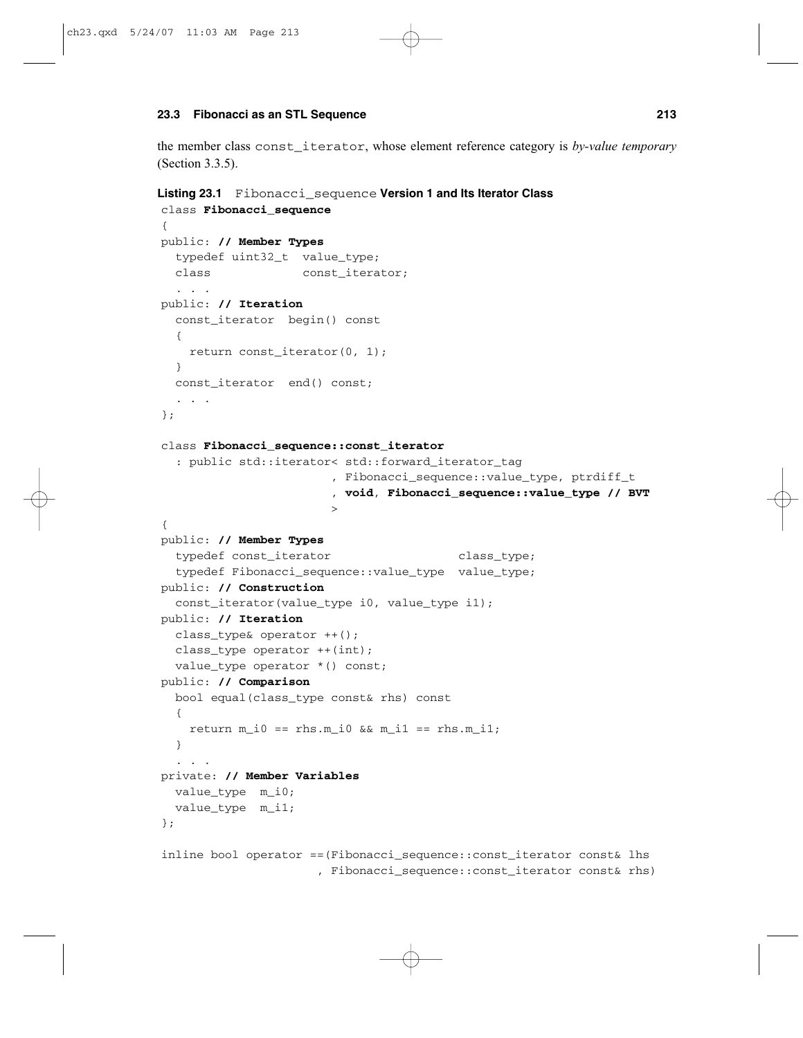the member class const\_iterator, whose element reference category is *by-value temporary* (Section 3.3.5).

```
Listing 23.1 Fibonacci_sequence Version 1 and Its Iterator Class
```

```
class Fibonacci_sequence
{
public: // Member Types
  typedef uint32_t value_type;
  class const_iterator;
  . . .
public: // Iteration
  const_iterator begin() const
  {
    return const_iterator(0, 1);
  }
 const_iterator end() const;
  . . .
};
class Fibonacci_sequence::const_iterator
  : public std::iterator< std::forward_iterator_tag
                        , Fibonacci_sequence::value_type, ptrdiff_t
                        , void, Fibonacci_sequence::value_type // BVT
                       >
{
public: // Member Types
  typedef const_iterator class_type;
  typedef Fibonacci_sequence::value_type value_type;
public: // Construction
  const_iterator(value_type i0, value_type i1);
public: // Iteration
  class_type& operator ++();
  class_type operator ++(int);
  value_type operator *() const;
public: // Comparison
  bool equal(class_type const& rhs) const
  {
    return m_i0 == rhs.m_i0 && m_i1 == rhs.m_i1;}
  . . .
private: // Member Variables
 value_type m_i0;
 value_type m_i1;
};
inline bool operator ==(Fibonacci_sequence::const_iterator const& lhs
                      , Fibonacci_sequence::const_iterator const& rhs)
```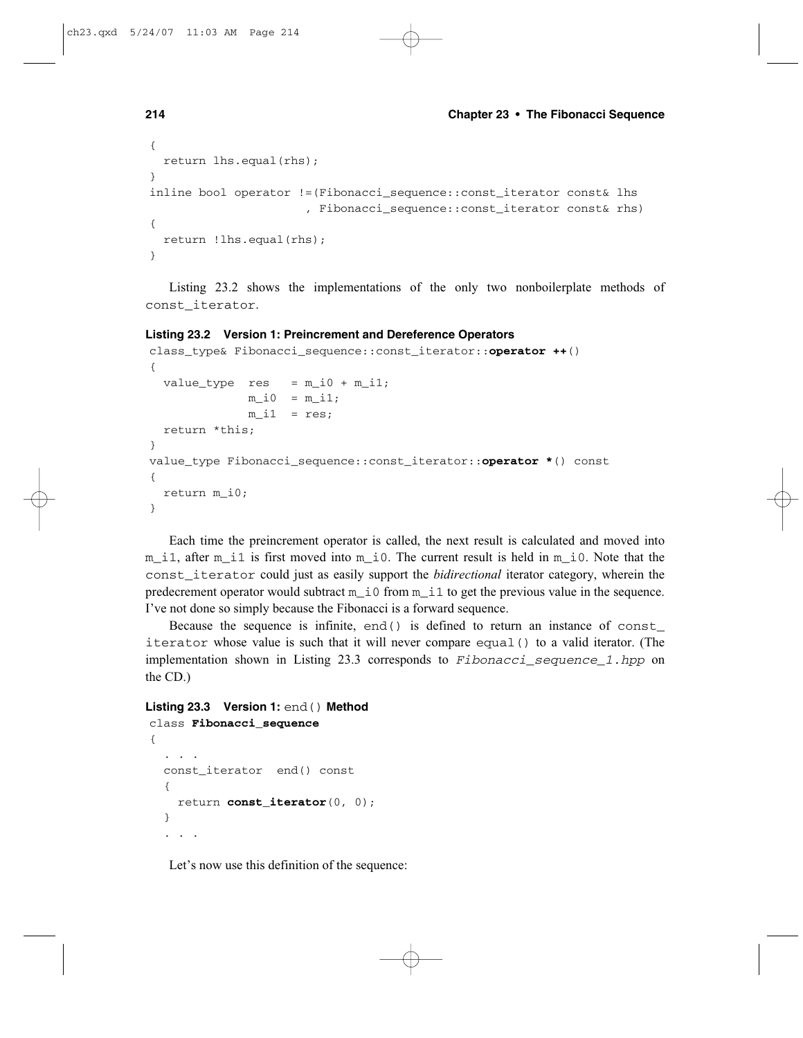```
{
 return lhs.equal(rhs);
}
inline bool operator !=(Fibonacci_sequence::const_iterator const& lhs
                       , Fibonacci_sequence::const_iterator const& rhs)
{
  return !lhs.equal(rhs);
}
```
Listing 23.2 shows the implementations of the only two nonboilerplate methods of const\_iterator.

#### **Listing 23.2 Version 1: Preincrement and Dereference Operators**

```
class_type& Fibonacci_sequence::const_iterator::operator ++()
{
 value_type res = m_i0 + m_i1;
             m_i0 = m_i1;m i1 = res;
  return *this;
}
value_type Fibonacci_sequence::const_iterator::operator *() const
{
 return m_i0;
}
```
Each time the preincrement operator is called, the next result is calculated and moved into m i1, after m i1 is first moved into m i0. The current result is held in m i0. Note that the const\_iterator could just as easily support the *bidirectional* iterator category, wherein the predecrement operator would subtract  $m_i$  i 0 from  $m_i$  i 1 to get the previous value in the sequence. I've not done so simply because the Fibonacci is a forward sequence.

Because the sequence is infinite, end() is defined to return an instance of const\_ iterator whose value is such that it will never compare equal() to a valid iterator. (The implementation shown in Listing 23.3 corresponds to  $Fibonacci$  sequence 1.hpp on the CD.)

```
Listing 23.3 Version 1: end() Method
class Fibonacci_sequence
{
  . . .
  const_iterator end() const
  {
    return const_iterator(0, 0);
  }
  . . .
```
Let's now use this definition of the sequence: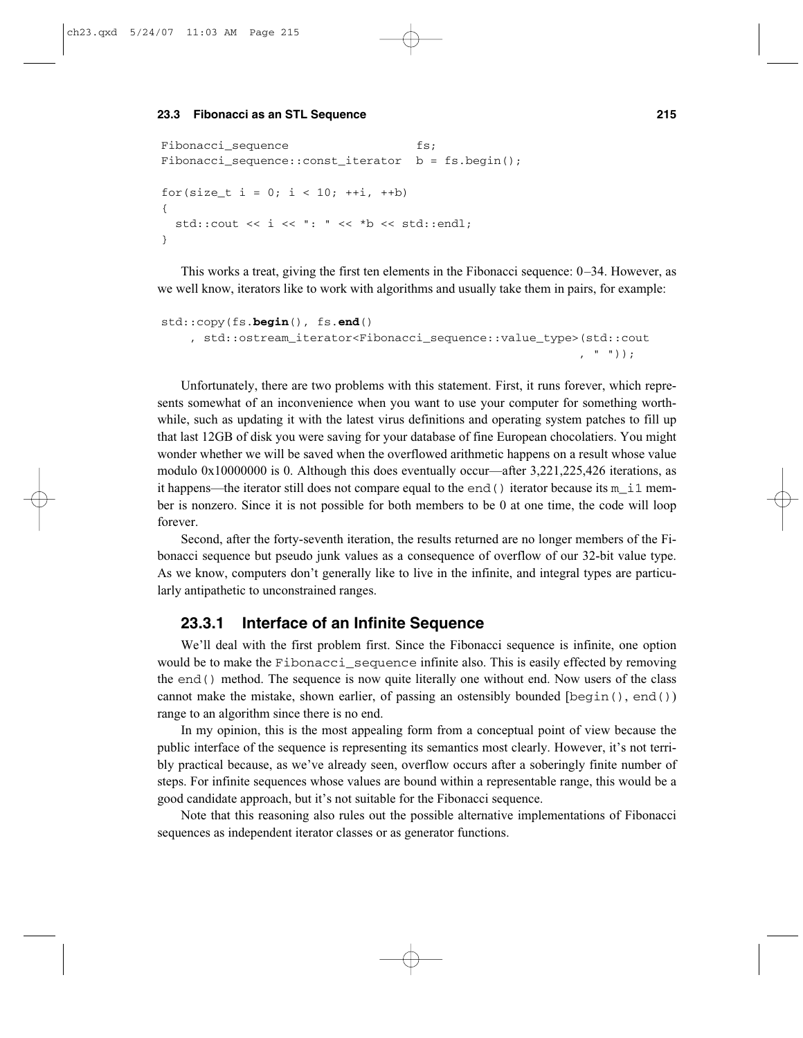#### **23.3 Fibonacci as an STL Sequence 215**

```
Fibonacci_sequence fs;
Fibonacci_sequence::const_iterator b = fs.begin();
for(size_t i = 0; i < 10; ++i, ++b)
{
 std::cout << i << ": " << *b << std::endl;
}
```
This works a treat, giving the first ten elements in the Fibonacci sequence: 0–34. However, as we well know, iterators like to work with algorithms and usually take them in pairs, for example:

```
std::copy(fs.begin(), fs.end()
    , std::ostream_iterator<Fibonacci_sequence::value_type>(std::cout
                                                            , " "));
```
Unfortunately, there are two problems with this statement. First, it runs forever, which represents somewhat of an inconvenience when you want to use your computer for something worthwhile, such as updating it with the latest virus definitions and operating system patches to fill up that last 12GB of disk you were saving for your database of fine European chocolatiers. You might wonder whether we will be saved when the overflowed arithmetic happens on a result whose value modulo  $0x10000000$  is 0. Although this does eventually occur—after 3,221,225,426 iterations, as it happens—the iterator still does not compare equal to the end() iterator because its  $m_i$  nember is nonzero. Since it is not possible for both members to be 0 at one time, the code will loop forever.

Second, after the forty-seventh iteration, the results returned are no longer members of the Fibonacci sequence but pseudo junk values as a consequence of overflow of our 32-bit value type. As we know, computers don't generally like to live in the infinite, and integral types are particularly antipathetic to unconstrained ranges.

## **23.3.1 Interface of an Infinite Sequence**

We'll deal with the first problem first. Since the Fibonacci sequence is infinite, one option would be to make the Fibonacci sequence infinite also. This is easily effected by removing the end() method. The sequence is now quite literally one without end. Now users of the class cannot make the mistake, shown earlier, of passing an ostensibly bounded  $\lceil \log i n(t) \rceil$ , end()) range to an algorithm since there is no end.

In my opinion, this is the most appealing form from a conceptual point of view because the public interface of the sequence is representing its semantics most clearly. However, it's not terribly practical because, as we've already seen, overflow occurs after a soberingly finite number of steps. For infinite sequences whose values are bound within a representable range, this would be a good candidate approach, but it's not suitable for the Fibonacci sequence.

Note that this reasoning also rules out the possible alternative implementations of Fibonacci sequences as independent iterator classes or as generator functions.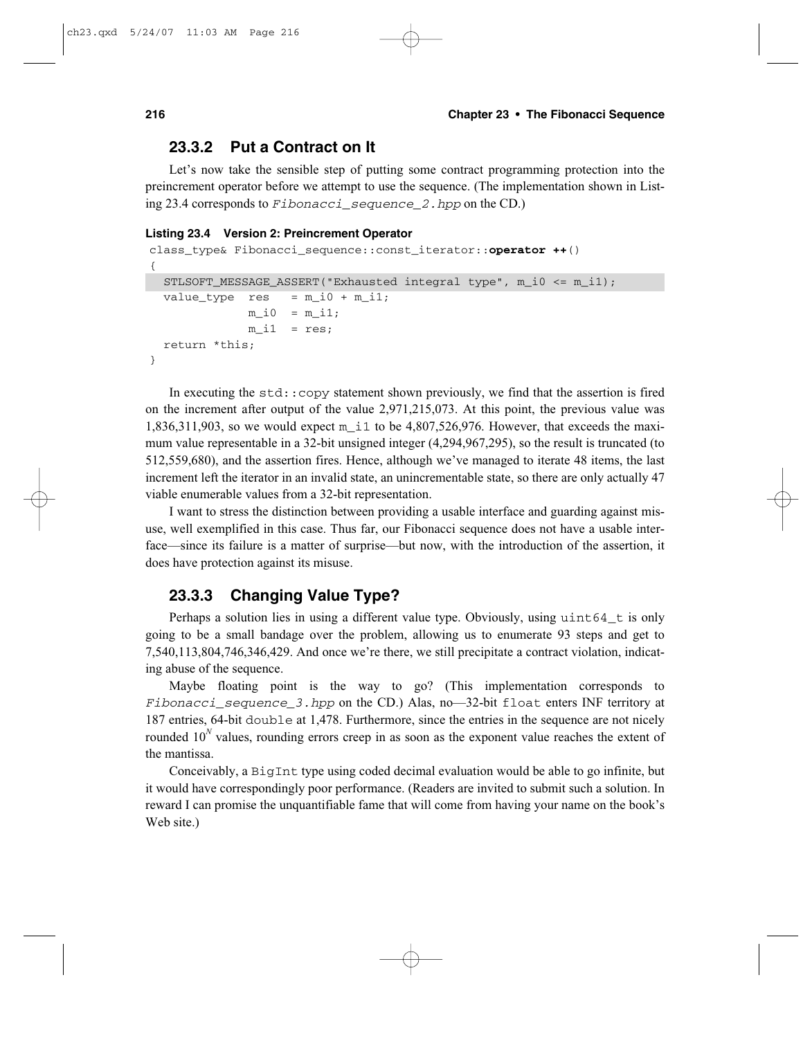#### **23.3.2 Put a Contract on It**

Let's now take the sensible step of putting some contract programming protection into the preincrement operator before we attempt to use the sequence. (The implementation shown in Listing 23.4 corresponds to Fibonacci sequence  $2 \cdot$  hpp on the CD.)

#### **Listing 23.4 Version 2: Preincrement Operator**

```
class_type& Fibonacci_sequence::const_iterator::operator ++()
{
 STLSOFT_MESSAGE_ASSERT("Exhausted integral type", m_i0 <= m_i1);
 value_type res = m_i i0 + m_i i1;
              m_i0 = m_i1;m i1 = res;
 return *this;
}
```
In executing the  $std: : \text{copy statement shown previously, we find that the assertion is fired}$ on the increment after output of the value 2,971,215,073. At this point, the previous value was 1,836,311,903, so we would expect m\_i1 to be  $4,807,526,976$ . However, that exceeds the maximum value representable in a 32-bit unsigned integer (4,294,967,295), so the result is truncated (to 512,559,680), and the assertion fires. Hence, although we've managed to iterate 48 items, the last increment left the iterator in an invalid state, an unincrementable state, so there are only actually 47 viable enumerable values from a 32-bit representation.

I want to stress the distinction between providing a usable interface and guarding against misuse, well exemplified in this case. Thus far, our Fibonacci sequence does not have a usable interface—since its failure is a matter of surprise—but now, with the introduction of the assertion, it does have protection against its misuse.

# **23.3.3 Changing Value Type?**

Perhaps a solution lies in using a different value type. Obviously, using  $uint64_t$  is only going to be a small bandage over the problem, allowing us to enumerate 93 steps and get to 7,540,113,804,746,346,429. And once we're there, we still precipitate a contract violation, indicating abuse of the sequence.

Maybe floating point is the way to go? (This implementation corresponds to Fibonacci sequence 3.hpp on the CD.) Alas, no—32-bit float enters INF territory at 187 entries, 64-bit double at 1,478. Furthermore, since the entries in the sequence are not nicely rounded 10<sup>*N*</sup> values, rounding errors creep in as soon as the exponent value reaches the extent of the mantissa.

Conceivably, a BigInt type using coded decimal evaluation would be able to go infinite, but it would have correspondingly poor performance. (Readers are invited to submit such a solution. In reward I can promise the unquantifiable fame that will come from having your name on the book's Web site.)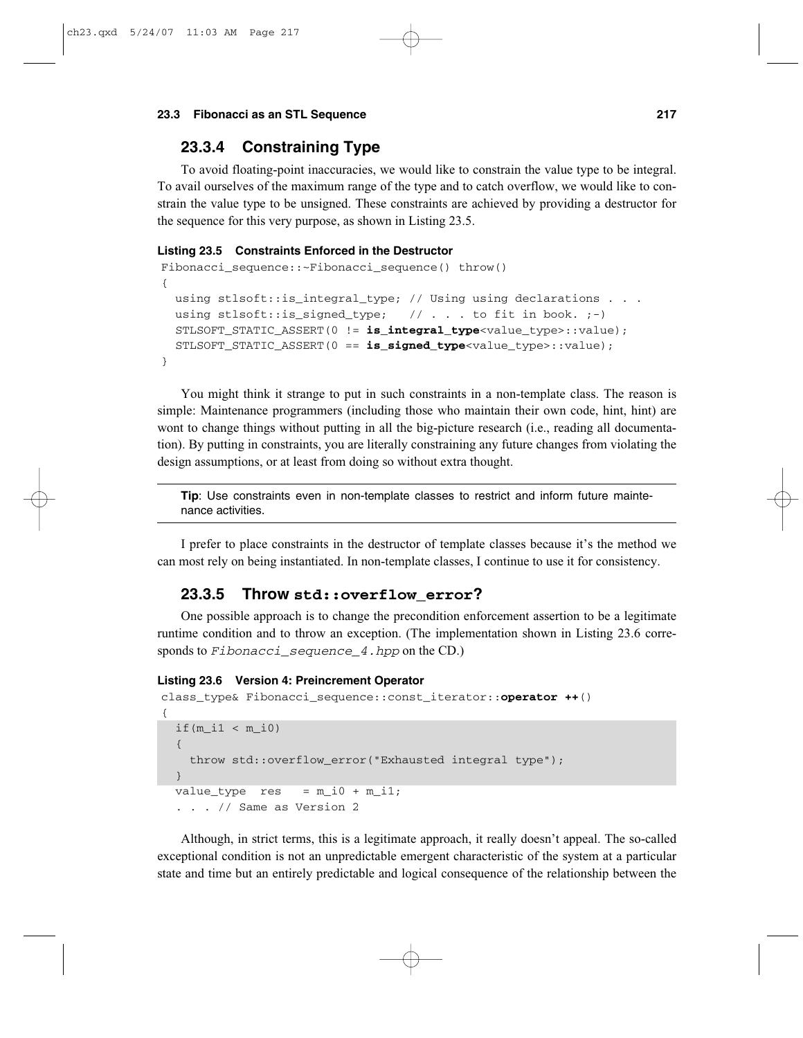## **23.3.4 Constraining Type**

To avoid floating-point inaccuracies, we would like to constrain the value type to be integral. To avail ourselves of the maximum range of the type and to catch overflow, we would like to constrain the value type to be unsigned. These constraints are achieved by providing a destructor for the sequence for this very purpose, as shown in Listing 23.5.

#### **Listing 23.5 Constraints Enforced in the Destructor**

```
Fibonacci_sequence::~Fibonacci_sequence() throw()
{
 using stlsoft::is_integral_type; // Using using declarations . . .
 using stlsoft::is_signed_type; // . . . to fit in book. ; -)STLSOFT_STATIC_ASSERT(0 != is_integral_type<value_type>::value);
  STLSOFT_STATIC_ASSERT(0 == is_signed_type<value_type>::value);
}
```
You might think it strange to put in such constraints in a non-template class. The reason is simple: Maintenance programmers (including those who maintain their own code, hint, hint) are wont to change things without putting in all the big-picture research (i.e., reading all documentation). By putting in constraints, you are literally constraining any future changes from violating the design assumptions, or at least from doing so without extra thought.

**Tip**: Use constraints even in non-template classes to restrict and inform future maintenance activities.

I prefer to place constraints in the destructor of template classes because it's the method we can most rely on being instantiated. In non-template classes, I continue to use it for consistency.

#### **23.3.5 Throw std::overflow\_error?**

One possible approach is to change the precondition enforcement assertion to be a legitimate runtime condition and to throw an exception. (The implementation shown in Listing 23.6 corresponds to Fibonacci\_sequence\_4.hpp on the CD.)

```
Listing 23.6 Version 4: Preincrement Operator
```

```
class_type& Fibonacci_sequence::const_iterator::operator ++()
{
 if(m i1 < m i0){
   throw std::overflow error("Exhausted integral type");
 }
 value type res = m i0 + m i1;
  . . . // Same as Version 2
```
Although, in strict terms, this is a legitimate approach, it really doesn't appeal. The so-called exceptional condition is not an unpredictable emergent characteristic of the system at a particular state and time but an entirely predictable and logical consequence of the relationship between the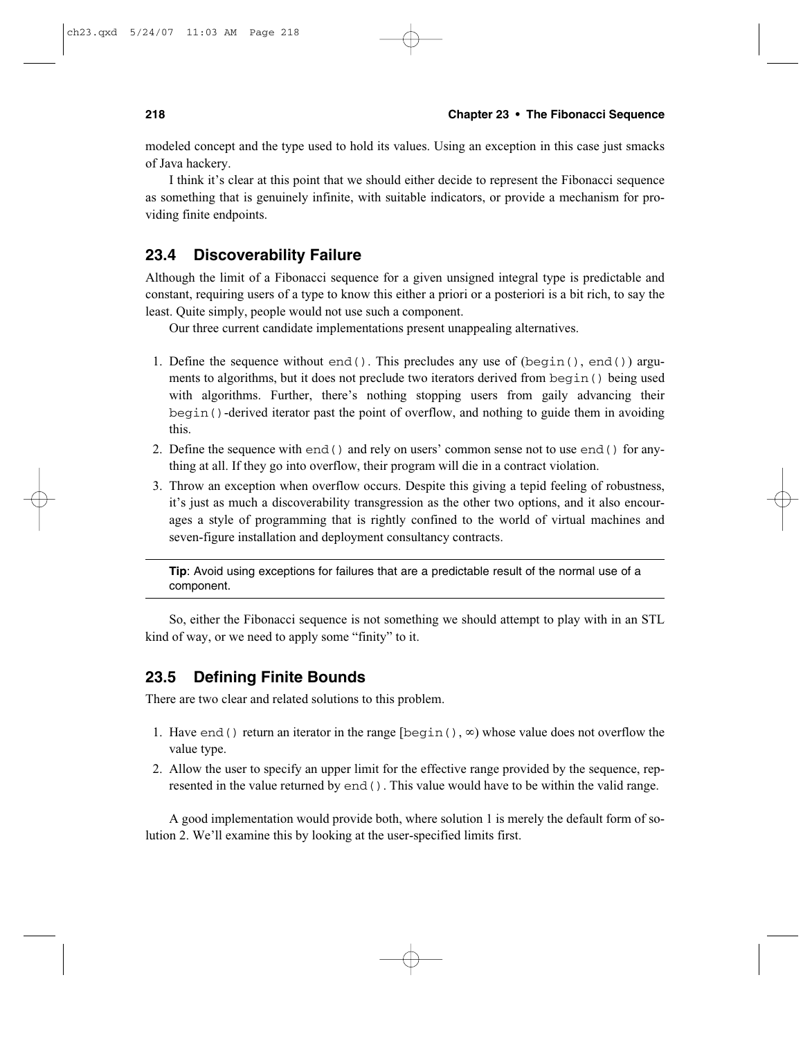modeled concept and the type used to hold its values. Using an exception in this case just smacks of Java hackery.

I think it's clear at this point that we should either decide to represent the Fibonacci sequence as something that is genuinely infinite, with suitable indicators, or provide a mechanism for providing finite endpoints.

## **23.4 Discoverability Failure**

Although the limit of a Fibonacci sequence for a given unsigned integral type is predictable and constant, requiring users of a type to know this either a priori or a posteriori is a bit rich, to say the least. Quite simply, people would not use such a component.

Our three current candidate implementations present unappealing alternatives.

- 1. Define the sequence without end(). This precludes any use of  $(\text{begin}()$ , end()) arguments to algorithms, but it does not preclude two iterators derived from begin() being used with algorithms. Further, there's nothing stopping users from gaily advancing their begin()-derived iterator past the point of overflow, and nothing to guide them in avoiding this.
- 2. Define the sequence with end() and rely on users' common sense not to use end() for anything at all. If they go into overflow, their program will die in a contract violation.
- 3. Throw an exception when overflow occurs. Despite this giving a tepid feeling of robustness, it's just as much a discoverability transgression as the other two options, and it also encourages a style of programming that is rightly confined to the world of virtual machines and seven-figure installation and deployment consultancy contracts.

**Tip**: Avoid using exceptions for failures that are a predictable result of the normal use of a component.

So, either the Fibonacci sequence is not something we should attempt to play with in an STL kind of way, or we need to apply some "finity" to it.

# **23.5 Defining Finite Bounds**

There are two clear and related solutions to this problem.

- 1. Have end () return an iterator in the range  $[\text{begin}(1, \infty)]$  whose value does not overflow the value type.
- 2. Allow the user to specify an upper limit for the effective range provided by the sequence, represented in the value returned by end(). This value would have to be within the valid range.

A good implementation would provide both, where solution 1 is merely the default form of solution 2. We'll examine this by looking at the user-specified limits first.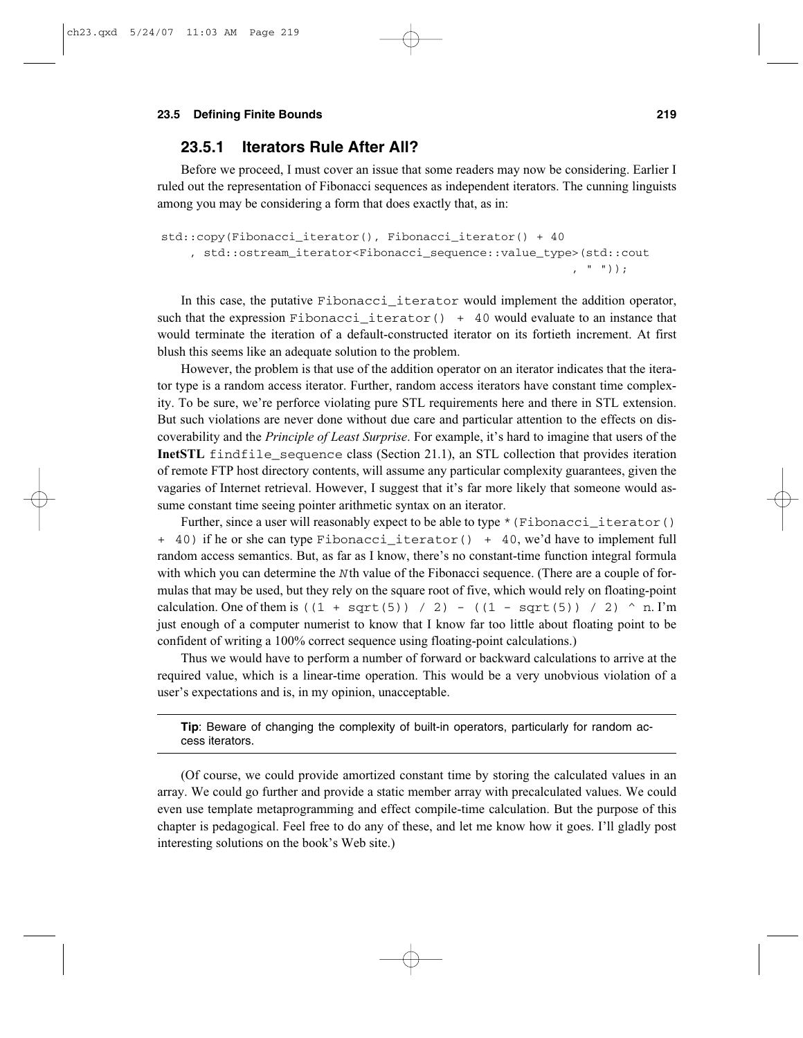#### **23.5.1 Iterators Rule After All?**

Before we proceed, I must cover an issue that some readers may now be considering. Earlier I ruled out the representation of Fibonacci sequences as independent iterators. The cunning linguists among you may be considering a form that does exactly that, as in:

```
std::copy(Fibonacci_iterator(), Fibonacci_iterator() + 40
    , std::ostream_iterator<Fibonacci_sequence::value_type>(std::cout
                                                           , " "));
```
In this case, the putative Fibonacci\_iterator would implement the addition operator, such that the expression Fibonacci\_iterator() + 40 would evaluate to an instance that would terminate the iteration of a default-constructed iterator on its fortieth increment. At first blush this seems like an adequate solution to the problem.

However, the problem is that use of the addition operator on an iterator indicates that the iterator type is a random access iterator. Further, random access iterators have constant time complexity. To be sure, we're perforce violating pure STL requirements here and there in STL extension. But such violations are never done without due care and particular attention to the effects on discoverability and the *Principle of Least Surprise*. For example, it's hard to imagine that users of the **InetSTL** findfile sequence class (Section 21.1), an STL collection that provides iteration of remote FTP host directory contents, will assume any particular complexity guarantees, given the vagaries of Internet retrieval. However, I suggest that it's far more likely that someone would assume constant time seeing pointer arithmetic syntax on an iterator.

Further, since a user will reasonably expect to be able to type \* (Fibonacci\_iterator() + 40) if he or she can type Fibonacci\_iterator() + 40, we'd have to implement full random access semantics. But, as far as I know, there's no constant-time function integral formula with which you can determine the N<sub>th</sub> value of the Fibonacci sequence. (There are a couple of formulas that may be used, but they rely on the square root of five, which would rely on floating-point calculation. One of them is  $((1 + sqrt(5)) / 2) - ((1 - sqrt(5)) / 2)$  ^ n. I'm just enough of a computer numerist to know that I know far too little about floating point to be confident of writing a 100% correct sequence using floating-point calculations.)

Thus we would have to perform a number of forward or backward calculations to arrive at the required value, which is a linear-time operation. This would be a very unobvious violation of a user's expectations and is, in my opinion, unacceptable.

**Tip**: Beware of changing the complexity of built-in operators, particularly for random access iterators.

(Of course, we could provide amortized constant time by storing the calculated values in an array. We could go further and provide a static member array with precalculated values. We could even use template metaprogramming and effect compile-time calculation. But the purpose of this chapter is pedagogical. Feel free to do any of these, and let me know how it goes. I'll gladly post interesting solutions on the book's Web site.)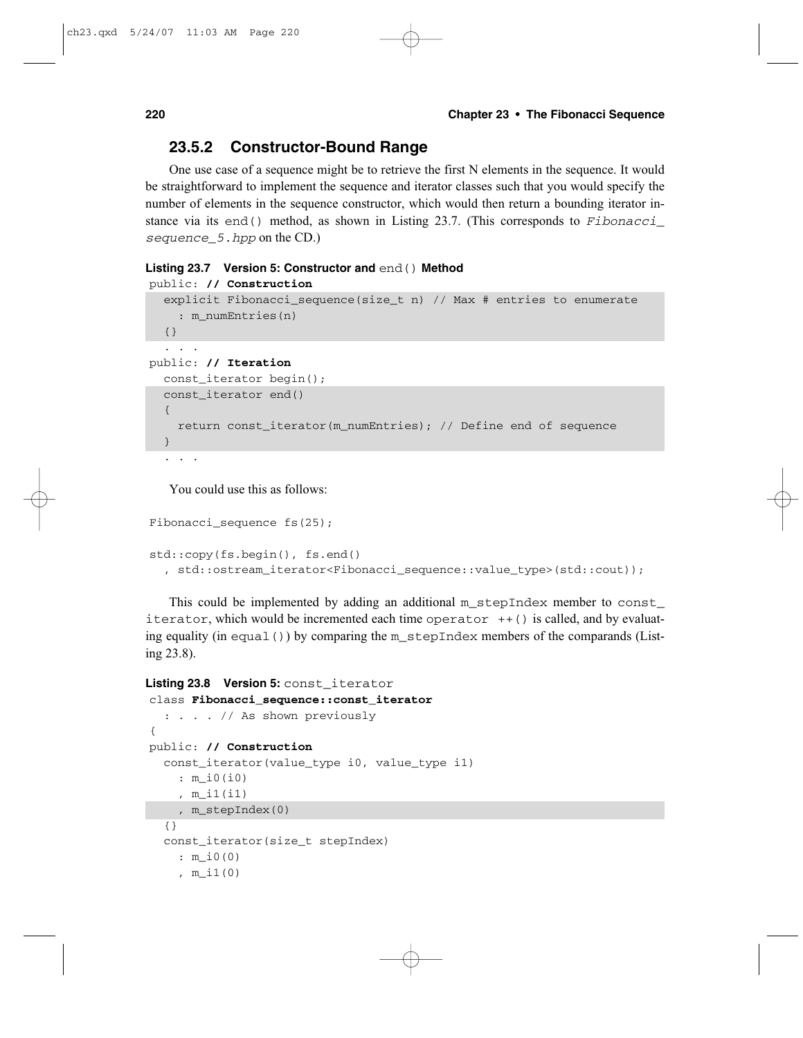## **23.5.2 Constructor-Bound Range**

One use case of a sequence might be to retrieve the first N elements in the sequence. It would be straightforward to implement the sequence and iterator classes such that you would specify the number of elements in the sequence constructor, which would then return a bounding iterator instance via its end() method, as shown in Listing 23.7. (This corresponds to  $Fibonacci$ sequence  $5 \cdot hpp$  on the CD.)

#### **Listing 23.7 Version 5: Constructor and** end() **Method**

```
public: // Construction
  explicit Fibonacci sequence(size t n) // Max # entries to enumerate
    : m_numEntries(n)
  {}
  . . . 
public: // Iteration
  const iterator begin();
  const_iterator end()
  {
    return const_iterator(m_numEntries); // Define end of sequence
  }
  . . .
```
You could use this as follows:

```
Fibonacci_sequence fs(25);
std::copy(fs.begin(), fs.end()
  , std::ostream_iterator<Fibonacci_sequence::value_type>(std::cout));
```
This could be implemented by adding an additional m\_stepIndex member to const iterator, which would be incremented each time operator  $++()$  is called, and by evaluating equality (in equal()) by comparing the m\_stepIndex members of the comparands (Listing 23.8).

```
Listing 23.8 Version 5: const_iterator
class Fibonacci_sequence::const_iterator
  : . . . // As shown previously
{
public: // Construction
  const_iterator(value_type i0, value_type i1)
    : m_i0(i0)
    , m_i1(i1)
    , m_stepIndex(0)
  {}
  const_iterator(size_t stepIndex)
    : m_i0(0)
    , m_i1(0)
```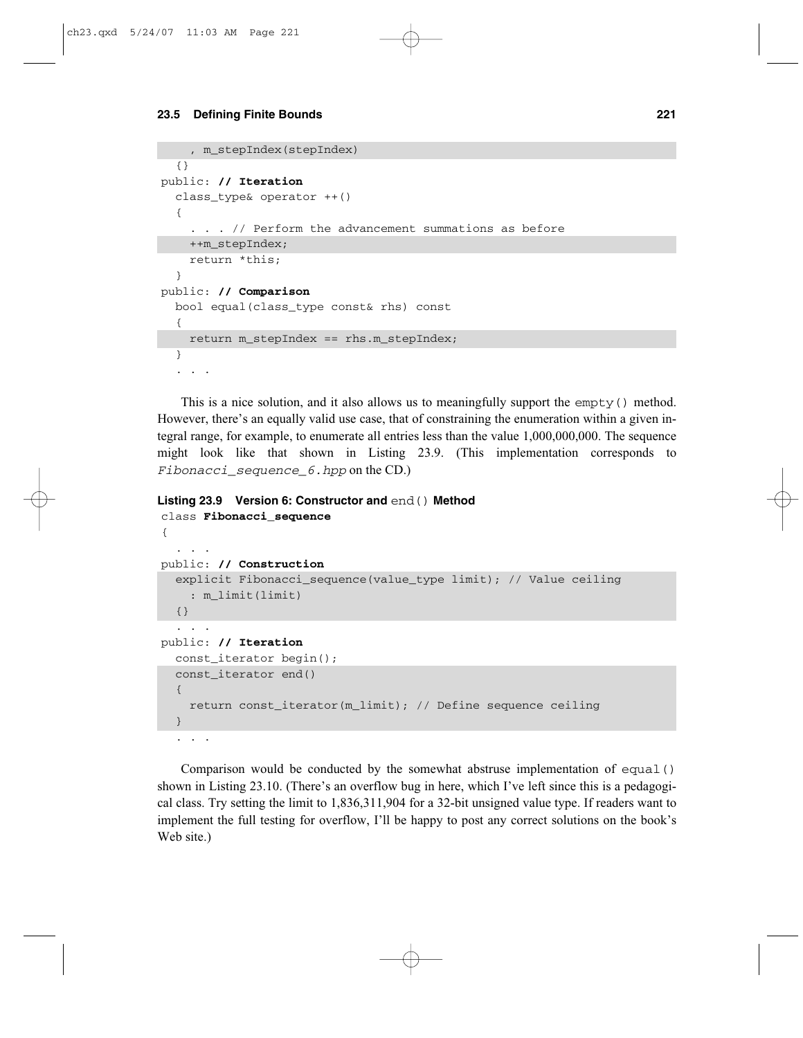```
, m_stepIndex(stepIndex)
  {}
public: // Iteration
  class_type& operator ++()
  {
    . . . // Perform the advancement summations as before
    ++m_stepIndex;
    return *this;
  }
public: // Comparison
  bool equal(class_type const& rhs) const
  {
    return m_stepIndex == rhs.m_stepIndex;
  }
  . . .
```
This is a nice solution, and it also allows us to meaningfully support the empty() method. However, there's an equally valid use case, that of constraining the enumeration within a given integral range, for example, to enumerate all entries less than the value 1,000,000,000. The sequence might look like that shown in Listing 23.9. (This implementation corresponds to Fibonacci sequence  $6.$ hpp on the CD.)

**Listing 23.9 Version 6: Constructor and** end() **Method**

```
class Fibonacci_sequence
{
  . . .
public: // Construction
  explicit Fibonacci_sequence(value_type limit); // Value ceiling
    : m_limit(limit)
  {}
  . . . 
public: // Iteration
  const_iterator begin();
  const_iterator end()
  {
    return const_iterator(m_limit); // Define sequence ceiling
  }
  . . .
```
Comparison would be conducted by the somewhat abstruse implementation of equal() shown in Listing 23.10. (There's an overflow bug in here, which I've left since this is a pedagogical class. Try setting the limit to 1,836,311,904 for a 32-bit unsigned value type. If readers want to implement the full testing for overflow, I'll be happy to post any correct solutions on the book's Web site.)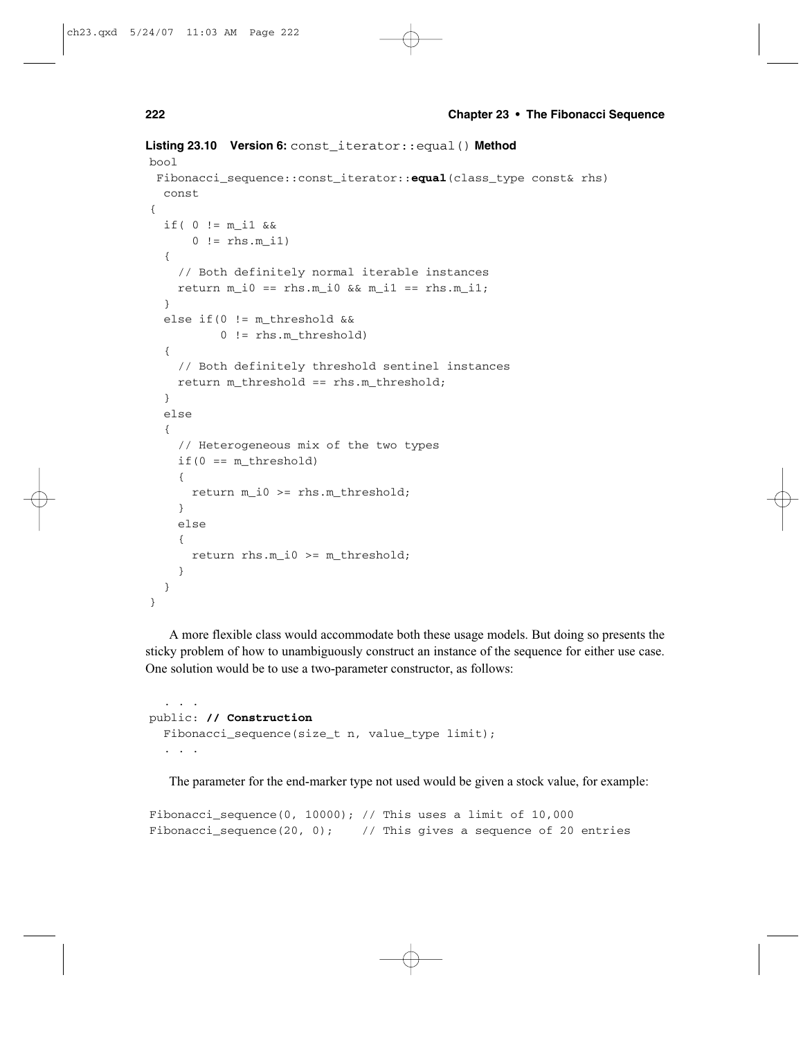```
Listing 23.10 Version 6: const_iterator::equal() Method
bool
 Fibonacci_sequence::const_iterator::equal(class_type const& rhs)
  const
{
  if ( 0 ! = m i 1 & 0)0 := rhs.m_i1)
  {
    // Both definitely normal iterable instances
    return m_i0 == rhs.m_i0 && m_i1 == rhs.m_i1;
  }
  else if(0 != m_threshold &&
           0 != rhs.m_threshold)
  {
    // Both definitely threshold sentinel instances
    return m_threshold == rhs.m_threshold;
  }
  else
  {
    // Heterogeneous mix of the two types
    if(0 == m_threshold){
      return m_i0 >= rhs.m_threshold;
    }
    else
    {
      return rhs.m_i0 >= m_threshold;
    }
  }
```
A more flexible class would accommodate both these usage models. But doing so presents the sticky problem of how to unambiguously construct an instance of the sequence for either use case. One solution would be to use a two-parameter constructor, as follows:

```
. . .
public: // Construction
  Fibonacci_sequence(size_t n, value_type limit);
  . . .
```
The parameter for the end-marker type not used would be given a stock value, for example:

```
Fibonacci_sequence(0, 10000); // This uses a limit of 10,000
Fibonacci_sequence(20, 0); // This gives a sequence of 20 entries
```
}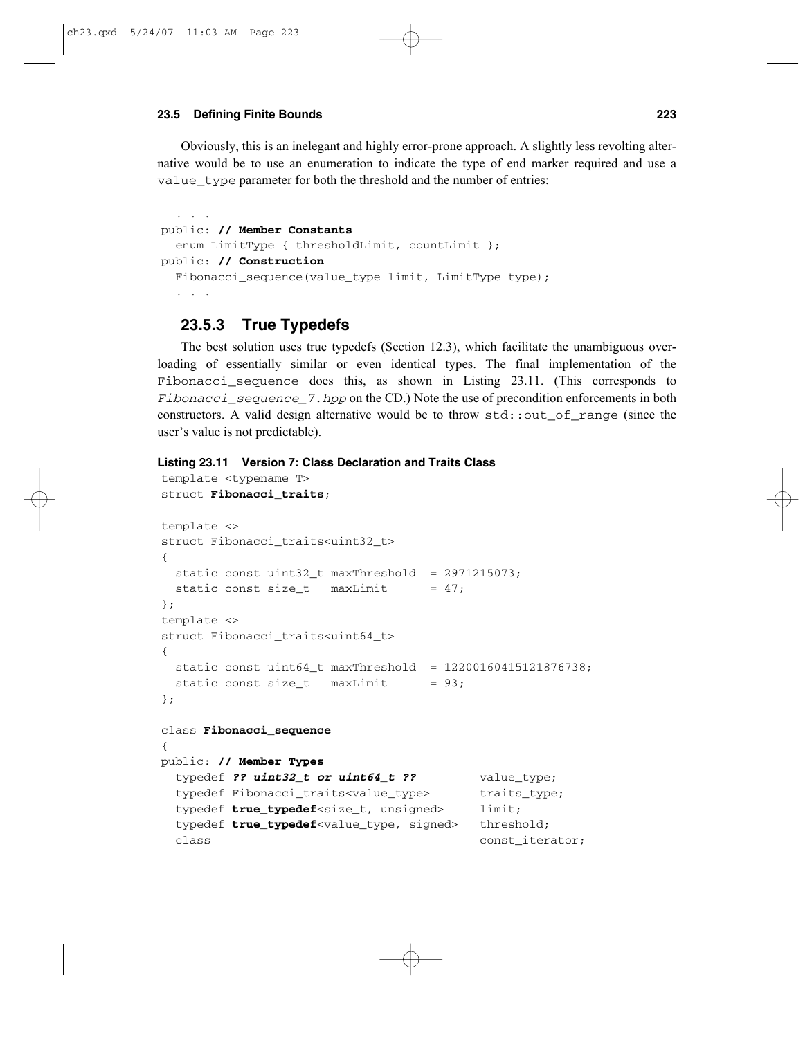Obviously, this is an inelegant and highly error-prone approach. A slightly less revolting alternative would be to use an enumeration to indicate the type of end marker required and use a value\_type parameter for both the threshold and the number of entries:

```
. . .
public: // Member Constants
  enum LimitType { thresholdLimit, countLimit };
public: // Construction
  Fibonacci_sequence(value_type limit, LimitType type);
  . . .
```
# **23.5.3 True Typedefs**

The best solution uses true typedefs (Section 12.3), which facilitate the unambiguous overloading of essentially similar or even identical types. The final implementation of the Fibonacci\_sequence does this, as shown in Listing 23.11. (This corresponds to Fibonacci sequence  $7.$  hpp on the CD.) Note the use of precondition enforcements in both constructors. A valid design alternative would be to throw  $\text{std}$ : out of range (since the user's value is not predictable).

```
Listing 23.11 Version 7: Class Declaration and Traits Class
```

```
template <typename T>
struct Fibonacci_traits;
template <>
struct Fibonacci_traits<uint32_t>
{
  static const uint32_t maxThreshold = 2971215073;
  static const size_t maxLimit = 47;
};
template <>
struct Fibonacci_traits<uint64_t>
{
  static const uint64_t maxThreshold = 12200160415121876738;
  static const size_t maxLimit = 93;};
class Fibonacci_sequence
{
public: // Member Types
  typedef ?? uint32_t or uint64_t ?? value_type;
  typedef Fibonacci_traits<value_type> traits_type;
  typedef true_typedef<size_t, unsigned> limit;
  typedef true_typedef<value_type, signed> threshold;
  class construction construction of \sim constructions constructions of \sim constructions of \sim constructions of \sim constructions of \sim constructions of \sim constructions of \sim constructions of \sim constructions
```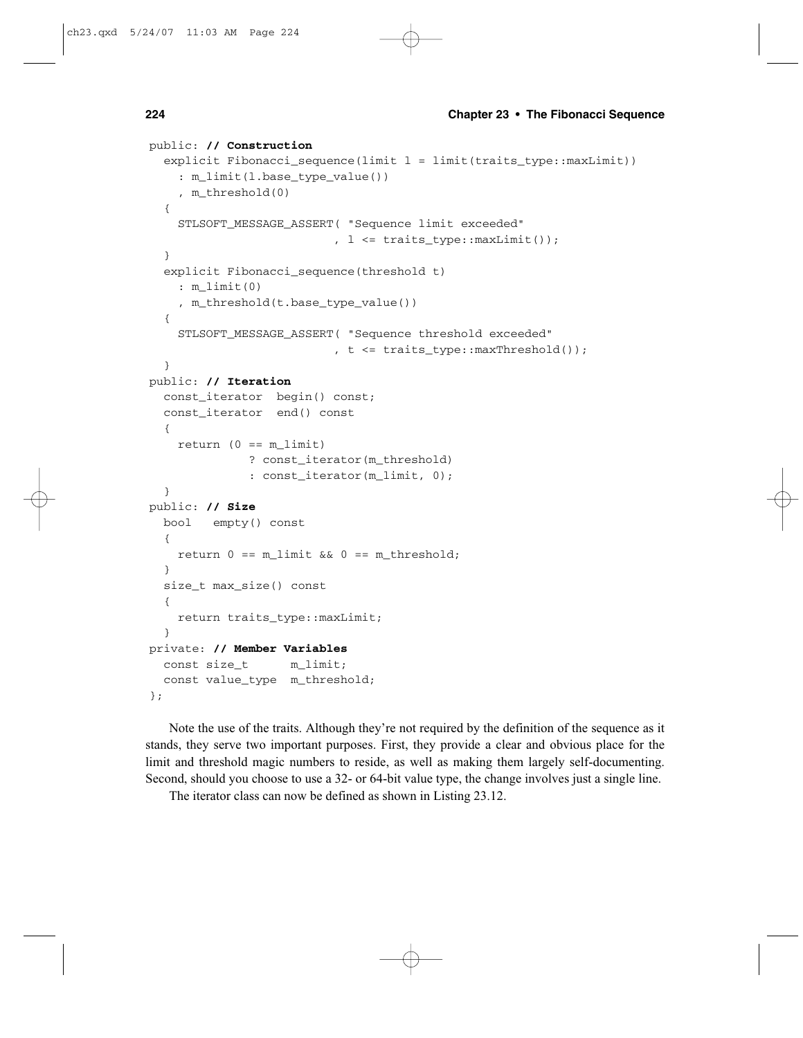```
public: // Construction
  explicit Fibonacci_sequence(limit l = limit(traits_type::maxLimit))
    : m_limit(l.base_type_value())
    , m_threshold(0)
  {
    STLSOFT_MESSAGE_ASSERT( "Sequence limit exceeded"
                           , l <= traits_type::maxLimit());
  }
  explicit Fibonacci_sequence(threshold t)
    : m_limit(0)
    , m_threshold(t.base_type_value())
  {
    STLSOFT_MESSAGE_ASSERT( "Sequence threshold exceeded"
                           , t \leq t traits_type:: maxThreshold());
  }
public: // Iteration
  const_iterator begin() const;
  const_iterator end() const
  {
    return (0 == m_1imit)? const_iterator(m_threshold) 
              : const_iterator(m_limit, 0);
  }
public: // Size
  bool empty() const
  {
    return 0 == mlimit && 0 == m threshold;
  }
  size_t max_size() const
  {
    return traits_type::maxLimit;
  }
private: // Member Variables
  const size_t m_limit;
  const value_type m_threshold;
};
```
Note the use of the traits. Although they're not required by the definition of the sequence as it stands, they serve two important purposes. First, they provide a clear and obvious place for the limit and threshold magic numbers to reside, as well as making them largely self-documenting. Second, should you choose to use a 32- or 64-bit value type, the change involves just a single line.

The iterator class can now be defined as shown in Listing 23.12.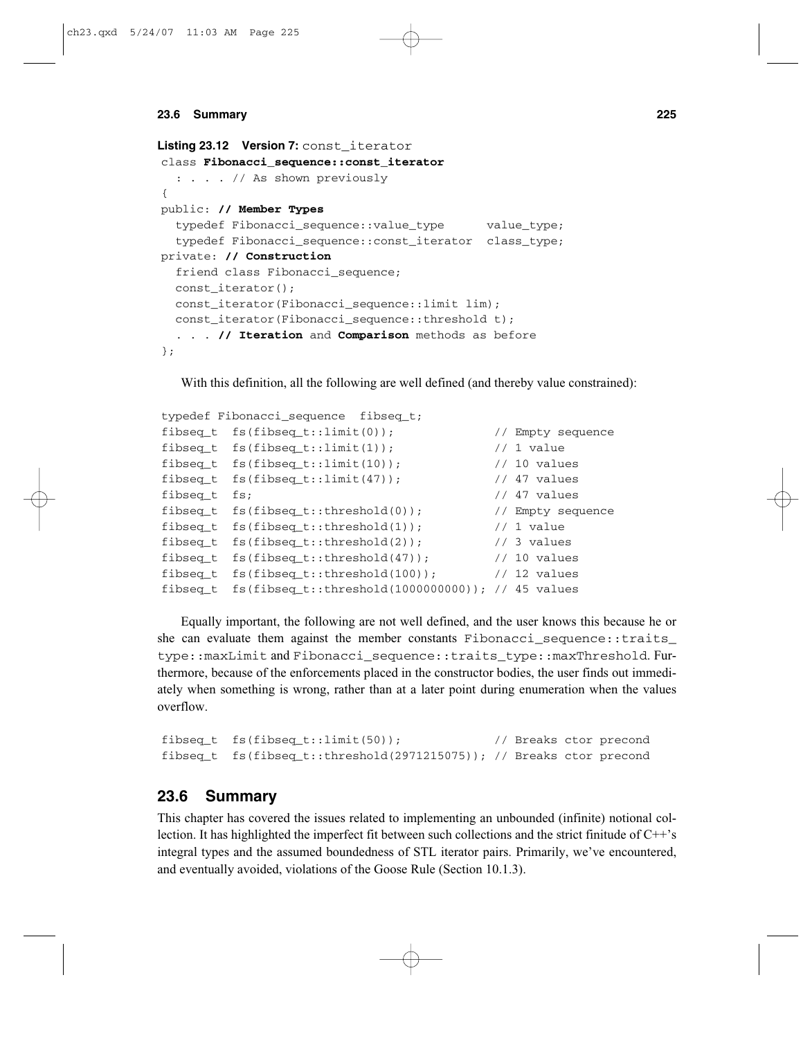```
Listing 23.12 Version 7: const iterator
class Fibonacci_sequence::const_iterator
  : . . . // As shown previously
{
public: // Member Types
  typedef Fibonacci_sequence::value_type value_type;
  typedef Fibonacci_sequence::const_iterator class_type;
private: // Construction
  friend class Fibonacci_sequence;
  const_iterator();
  const_iterator(Fibonacci_sequence::limit lim);
  const_iterator(Fibonacci_sequence::threshold t);
  . . . // Iteration and Comparison methods as before
};
```
With this definition, all the following are well defined (and thereby value constrained):

```
typedef Fibonacci_sequence fibseq_t; 
fibseq_t fs(fibseq_t::limit(0)); // Empty sequence
fibseq t fs(fibseq t::limit(1)); \frac{1}{2} // 1 value
fibseq_t fs(fibseq_t::limit(10)); // 10 values
fibseq_t fs(fibseq_t::limit(47)); // 47 values
fibseq_t fs; \frac{1}{47} values
fibseq_t fs(fibseq_t::threshold(0)); // Empty sequence
fibseq_t fs(fibseq_t::threshold(1)); \frac{1}{2} // 1 value
fibseq_t fs(fibseq_t::threshold(2)); // 3 values
fibseq_t fs(fibseq_t::threshold(47)); // 10 values
fibseq_t fs(fibseq_t::threshold(100)); // 12 values
fibseq_t fs(fibseq_t::threshold(1000000000)); // 45 values
```
Equally important, the following are not well defined, and the user knows this because he or she can evaluate them against the member constants Fibonacci\_sequence::traits\_ type::maxLimit and Fibonacci\_sequence::traits\_type::maxThreshold. Furthermore, because of the enforcements placed in the constructor bodies, the user finds out immediately when something is wrong, rather than at a later point during enumeration when the values overflow.

```
fibseq_t fs(fibseq_t::limit(50)); // Breaks ctor precond
fibseq_t fs(fibseq_t::threshold(2971215075)); // Breaks ctor precond
```
# **23.6 Summary**

This chapter has covered the issues related to implementing an unbounded (infinite) notional collection. It has highlighted the imperfect fit between such collections and the strict finitude of C++'s integral types and the assumed boundedness of STL iterator pairs. Primarily, we've encountered, and eventually avoided, violations of the Goose Rule (Section 10.1.3).